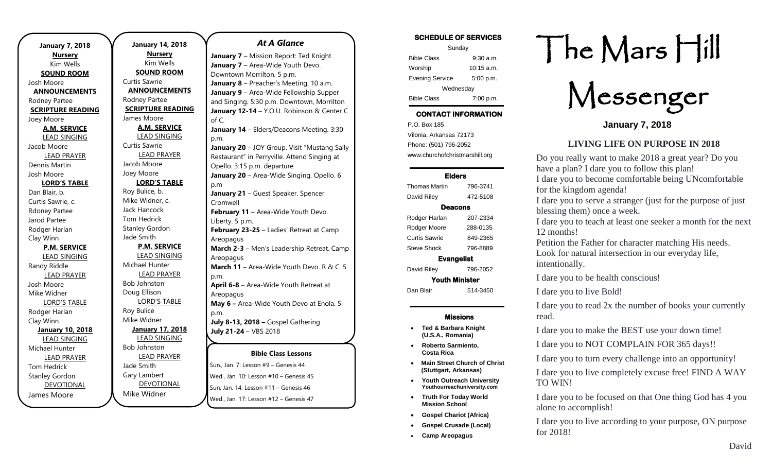| <b>January 7, 2018</b>   |  |  |
|--------------------------|--|--|
| <b>Nursery</b>           |  |  |
| Kim Wells                |  |  |
| <b>SOUND ROOM</b>        |  |  |
| Josh Moore               |  |  |
| <b>ANNOUNCEMENTS</b>     |  |  |
| Rodney Partee            |  |  |
| <b>SCRIPTURE READING</b> |  |  |
| Joey Moore               |  |  |
| <b>A.M. SERVICE</b>      |  |  |
| <b>LEAD SINGING</b>      |  |  |
| Jacob Moore              |  |  |
| <b>LEAD PRAYER</b>       |  |  |
| <b>Dennis Martin</b>     |  |  |
| Josh Moore               |  |  |
| <b>LORD'S TABLE</b>      |  |  |
| Dan Blair, b.            |  |  |
| Curtis Sawrie, c.        |  |  |
| <b>Rdoney Partee</b>     |  |  |
| Jarod Partee             |  |  |
| Rodger Harlan            |  |  |
| Clay Winn                |  |  |
| <b>P.M. SERVICE</b>      |  |  |
| <b>LEAD SINGING</b>      |  |  |
| Randy Riddle             |  |  |
| <b>LEAD PRAYER</b>       |  |  |
| Josh Moore               |  |  |
| Mike Widner              |  |  |
| <b>LORD'S TABLE</b>      |  |  |
| Rodger Harlan            |  |  |
| Clay Winn                |  |  |
| <b>January 10, 2018</b>  |  |  |
| <b>LEAD SINGING</b>      |  |  |
| Michael Hunter           |  |  |
| <b>LEAD PRAYER</b>       |  |  |
| <b>Tom Hedrick</b>       |  |  |
| <b>Stanley Gordon</b>    |  |  |
| <b>DEVOTIONAL</b>        |  |  |
| James Moore              |  |  |

.

**January 14, 2018 Nursery** Kim Wells **SOUND ROOM** Curtis Sawrie **ANNOUNCEMENTS** Rodney Partee **SCRIPTURE READING** James Moore **A.M. SERVICE** LEAD SINGING Curtis Sawrie LEAD PRAYER Jacob Moore Joey Moore **LORD'S TABLE** Roy Bulice, b. Mike Widner, c. Jack Hancock Tom Hedrick Stanley Gordon Jade Smith **P.M. SERVICE** LEAD SINGING Michael Hunter LEAD PRAYER Bob Johnston Doug Ellison LORD'S TABLE Roy Bulice Mike Widner **January 17, 2018** LEAD SINGING Bob Johnston LEAD PRAYER Jade Smith Gary Lambert DEVOTIONAL Mike Widner

### *At A Glance*

**Bible Class Lessons** Sun., Jan. 7: Lesson #9 – Genesis 44 Wed., Jan. 10: Lesson #10 – Genesis 45 **January 7** – Mission Report: Ted Knight **January 7** – Area-Wide Youth Devo. Downtown Morrilton. 5 p.m. **January 8** – Preacher's Meeting. 10 a.m. **January 9** – Area-Wide Fellowship Supper and Singing. 5:30 p.m. Downtown, Morrilton **January 12-14** – Y.O.U. Robinson & Center C of C. **January 14** – Elders/Deacons Meeting. 3:30 p.m. **January 20** – JOY Group. Visit "Mustang Sally Restaurant" in Perryville. Attend Singing at Opello. 3:15 p.m. departure **January 20** – Area-Wide Singing. Opello. 6 p.m **January 21** – Guest Speaker. Spencer Cromwell **February 11 - Area-Wide Youth Devo.** Liberty. 5 p.m. **February 23-25** – Ladies' Retreat at Camp Areopagus **March 2-3** – Men's Leadership Retreat. Camp Areopagus **March 11** – Area-Wide Youth Devo. R & C. 5 p.m. **April 6-8** – Area-Wide Youth Retreat at Areopagus **May 6 –** Area-Wide Youth Devo at Enola. 5 p.m. **July 8-13, 2018 –** Gospel Gathering **July 21-24** – VBS 2018

Sun, Jan. 14: Lesson #11 – Genesis 46

Wed., Jan. 17: Lesson #12 – Genesis 47

## SCHEDULE OF SERVICES

| Sunday                 |              |  |
|------------------------|--------------|--|
| <b>Bible Class</b>     | $9:30$ a.m.  |  |
| Worship                | $10:15$ a.m. |  |
| <b>Evening Service</b> | 5:00 p.m.    |  |
| Wednesday              |              |  |
| <b>Bible Class</b>     | 7:00 p.m.    |  |

# CONTACT INFORMATION

. .o. Box 166<br>Vilonia, Arkansas 72173 P.O. Box 185 Phone: (501) 796-2052 www.churchofchristmarshill.org

### Elders

| Thomas Martin         | 796-3741 |  |
|-----------------------|----------|--|
| David Riley           | 472-5108 |  |
| Deacons               |          |  |
| Rodger Harlan         | 207-2334 |  |
| Rodger Moore          | 288-0135 |  |
| Curtis Sawrie         | 849-2365 |  |
| <b>Steve Shock</b>    | 796-8889 |  |
| <b>Evangelist</b>     |          |  |
| David Riley           | 796-2052 |  |
| <b>Youth Minister</b> |          |  |
| Dan Blair             | 514-3450 |  |
|                       |          |  |

## Missions

- **Ted & Barbara Knight (U.S.A., Romania)**
- **Roberto Sarmiento, Costa Rica**
- **Main Street Church of Christ (Stuttgart, Arkansas)**
- **Youth Outreach University Youthourreachuniversity.com**
- **Truth For Today World Mission School**
- **Gospel Chariot (Africa)**
- **Gospel Crusade (Local)**
- **Camp Areopagus**

# The Mars Hill

Messenger

**January 7, 2018**

## **LIVING LIFE ON PURPOSE IN 2018**

Do you really want to make 2018 a great year? Do you have a plan? I dare you to follow this plan! I dare you to become comfortable being UNcomfortable for the kingdom agenda!

I dare you to serve a stranger (just for the purpose of just blessing them) once a week.

I dare you to teach at least one seeker a month for the next 12 months!

Petition the Father for character matching His needs. Look for natural intersection in our everyday life, intentionally.

I dare you to be health conscious!

I dare you to live Bold!

I dare you to read 2x the number of books your currently read.

I dare you to make the BEST use your down time!

I dare you to NOT COMPLAIN FOR 365 days!!

I dare you to turn every challenge into an opportunity!

I dare you to live completely excuse free! FIND A WAY TO WIN!

I dare you to be focused on that One thing God has 4 you alone to accomplish!

I dare you to live according to your purpose, ON purpose for 2018!